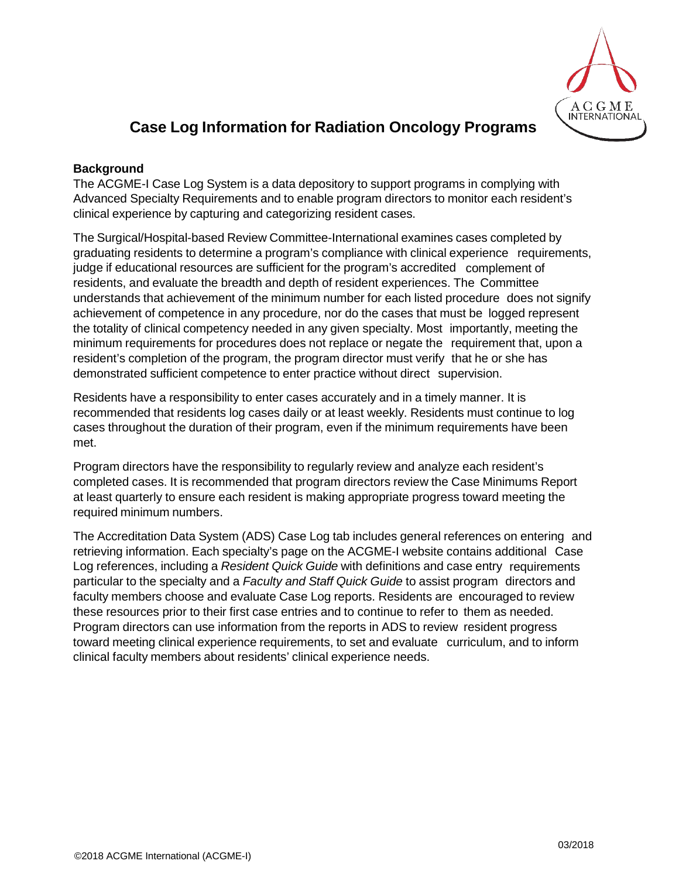

# **Case Log Information for Radiation Oncology Programs**

# **Background**

The ACGME-I Case Log System is a data depository to support programs in complying with Advanced Specialty Requirements and to enable program directors to monitor each resident's clinical experience by capturing and categorizing resident cases.

The Surgical/Hospital-based Review Committee-International examines cases completed by graduating residents to determine a program's compliance with clinical experience requirements, judge if educational resources are sufficient for the program's accredited complement of residents, and evaluate the breadth and depth of resident experiences. The Committee understands that achievement of the minimum number for each listed procedure does not signify achievement of competence in any procedure, nor do the cases that must be logged represent the totality of clinical competency needed in any given specialty. Most importantly, meeting the minimum requirements for procedures does not replace or negate the requirement that, upon a resident's completion of the program, the program director must verify that he or she has demonstrated sufficient competence to enter practice without direct supervision.

Residents have a responsibility to enter cases accurately and in a timely manner. It is recommended that residents log cases daily or at least weekly. Residents must continue to log cases throughout the duration of their program, even if the minimum requirements have been met.

Program directors have the responsibility to regularly review and analyze each resident's completed cases. It is recommended that program directors review the Case Minimums Report at least quarterly to ensure each resident is making appropriate progress toward meeting the required minimum numbers.

The Accreditation Data System (ADS) Case Log tab includes general references on entering and retrieving information. Each specialty's page on the ACGME-I website contains additional Case Log references, including a *Resident Quick Guide* with definitions and case entry requirements particular to the specialty and a *Faculty and Staff Quick Guide* to assist program directors and faculty members choose and evaluate Case Log reports. Residents are encouraged to review these resources prior to their first case entries and to continue to refer to them as needed. Program directors can use information from the reports in ADS to review resident progress toward meeting clinical experience requirements, to set and evaluate curriculum, and to inform clinical faculty members about residents' clinical experience needs.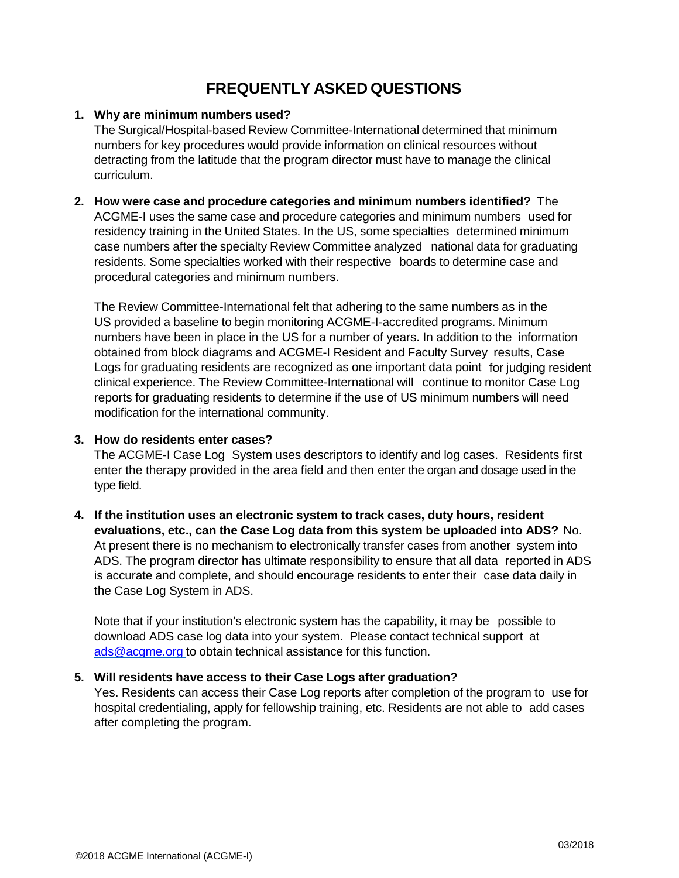# **FREQUENTLY ASKED QUESTIONS**

## **1. Why are minimum numbers used?**

The Surgical/Hospital-based Review Committee-International determined that minimum numbers for key procedures would provide information on clinical resources without detracting from the latitude that the program director must have to manage the clinical curriculum.

# **2. How were case and procedure categories and minimum numbers identified?** The ACGME-I uses the same case and procedure categories and minimum numbers used for residency training in the United States. In the US, some specialties determined minimum case numbers after the specialty Review Committee analyzed national data for graduating residents. Some specialties worked with their respective boards to determine case and procedural categories and minimum numbers.

The Review Committee-International felt that adhering to the same numbers as in the US provided a baseline to begin monitoring ACGME-I-accredited programs. Minimum numbers have been in place in the US for a number of years. In addition to the information obtained from block diagrams and ACGME-I Resident and Faculty Survey results, Case Logs for graduating residents are recognized as one important data point for judging resident clinical experience. The Review Committee-International will continue to monitor Case Log reports for graduating residents to determine if the use of US minimum numbers will need modification for the international community.

### **3. How do residents enter cases?**

The ACGME-I Case Log System uses descriptors to identify and log cases. Residents first enter the therapy provided in the area field and then enter the organ and dosage used in the type field.

**4. If the institution uses an electronic system to track cases, duty hours, resident evaluations, etc., can the Case Log data from this system be uploaded into ADS?** No. At present there is no mechanism to electronically transfer cases from another system into ADS. The program director has ultimate responsibility to ensure that all data reported in ADS is accurate and complete, and should encourage residents to enter their case data daily in the Case Log System in ADS.

Note that if your institution's electronic system has the capability, it may be possible to download ADS case log data into your system. Please contact technical support at [ads@acgme.org](mailto:ads@acgme.org) to obtain technical assistance for this function.

### **5. Will residents have access to their Case Logs after graduation?**

Yes. Residents can access their Case Log reports after completion of the program to use for hospital credentialing, apply for fellowship training, etc. Residents are not able to add cases after completing the program.